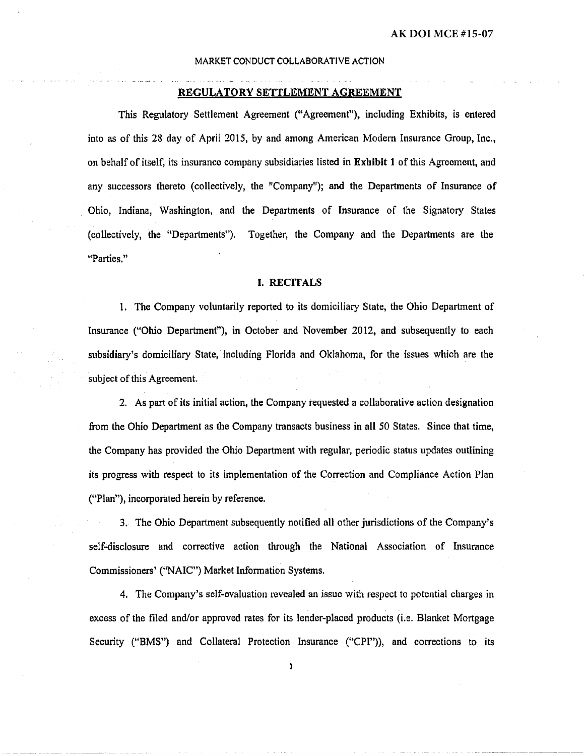#### REGULATORY SETTLEMENT AGREEMENT

This Regulatory Settlement Agreement (''Agreement"), including Exhibits, is entered into as of this 28 day of April 2015, by and among American Modern Insurance Group, Inc., on behalf of itself, its insurance company subsidiaries listed in Exhibit 1 of this Agreement, and any successors thereto (collectively, the "Company"); and the Departments of Insurance of Ohio, Indiana, Washington, and the Departments of Insurance of the Signatory States (collectively, the 41Departments"). Together, the Company and the Departments are the "Parties."

### I. RECITALS

1. The Company voluntarily reported to its domiciliary State, the Ohio Department of Insurance ("Ohio Department"), in October and November 2012, and subsequently to each subsidiary's domiciliary State, including Florida and Oklahoma, for the issues which are the subject of this Agreement.

2. As part of its initial action, the Company requested a collaborative action designation from the Ohio Department as the Company transacts business in all *50* States. Since that time, the Company has provided the Ohio Department with regular, periodic status updates outlining its progress with respect to its implementation of the Correction and Compliance Action Plan ("Plan"), incorporated herein by reference.

3. The Ohio Department subsequently notified all other jurisdictions of the Company's self-disclosure and corrective action through the National Association of Insurance Commissioners' ("NAIC"} Market Information Systems.

4. The Company's self-evaluation revealed an issue with respect to potential charges in excess of the filed and/or approved rates for its lender-placed products (i.e. Blanket Mortgage Security ("BMS") and Collateral Protection Insurance ("CPI")), and corrections to its

 $\mathbf{1}$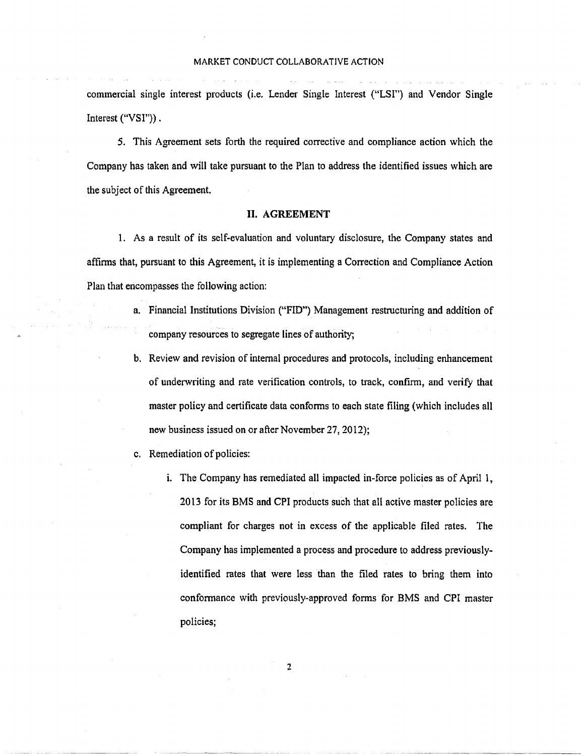commercial single interest products (i.e. Lender Single Interest ("LSI") and Vendor Single Interest ("VSI")).

5. This Agreement sets forth the required corrective and compliance action which the Company has taken and will take pursuant to the Plan to address the identified issues which are the subject of this Agreement.

### II. AGREEMENT

1. As a result of its self-evaluation and voluntary disclosure, the Company states and affinns that, pursuant to this Agreement, it is implementing a Correction and Compliance Action Plan that encompasses the following action:

- a. Financial Institutions Division ("FID") Management restructuring and addition of company resources to segregate lines of authority;
- b. Review and revision of internal procedures and protocols, including enhancement of underwriting and rate verification controls, to track, confirm, and verify that master policy and certificate data confonns to each state filing (which includes all new business issued on or after November 27, 2012);
- c. Remediation of policies:
	- i. The Company has remediated all impacted in-force policies as of April 1, 2013 for its BMS and CPI products such that all active master policies are compliant for charges not in excess of the applicable filed rates. The Company has implemented a process and procedure to address previouslyidentified rates that were less than the filed rates to bring them into confonnance with previously-approved forms for BMS and CPI master policies;

- ----------------------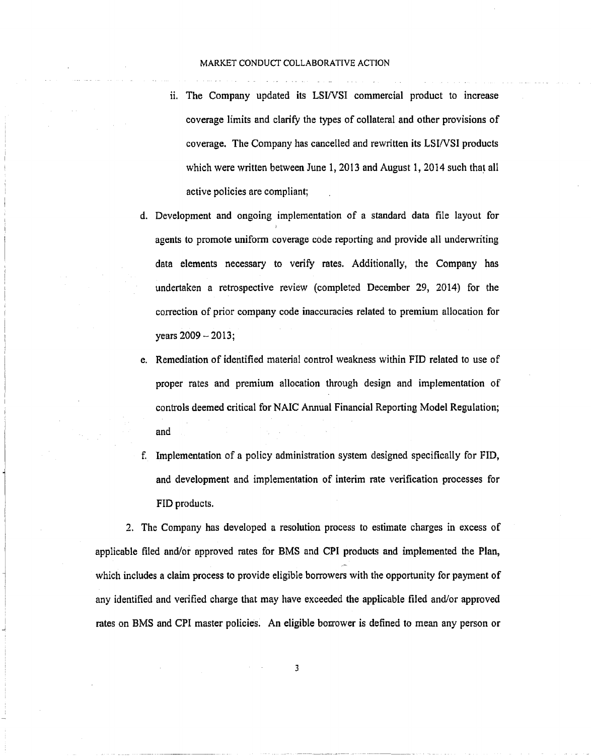- ii. The Company updated its LSl/VSI commercial product to increase coverage limits and clarify the types of collateral and other provisions of coverage. The Company has cancelled and rewritten its LSI/VSI products which were written between June 1, 2013 and August 1, 2014 such that all active policies are compliant;
- d. Development and ongoing implementation of a standard data file layout for agents to promote uniform coverage code reporting and provide all underwriting data elements necessary to verify rates. Additionally, the Company has undertaken a retrospective review (completed December 29, 2014) for the correction of prior company code inaccuracies related to premium allocation for  $years 2009 - 2013;$
- e. Remediation of identified material control weakness within FID related to use of proper rates and premium allocation through design and implementation of controls deemed critical for NAIC Annual Financial Reporting Model Regulation; and
- f. Implementation of a policy administration system designed specifically for FID, and development and implementation of interim rate verification processes for FID products.

2. The Company has developed a resolution process to estimate charges in excess of applicable filed and/or approved rates for BMS and CPI products and implemented the Plan, which includes a claim process to provide eligible borrowers with the opportunity for payment of any identified and verified charge that may have exceeded the applicable filed and/or approved rates on BMS and CPI master policies. An eligible borrower is defined to mean any person or

I J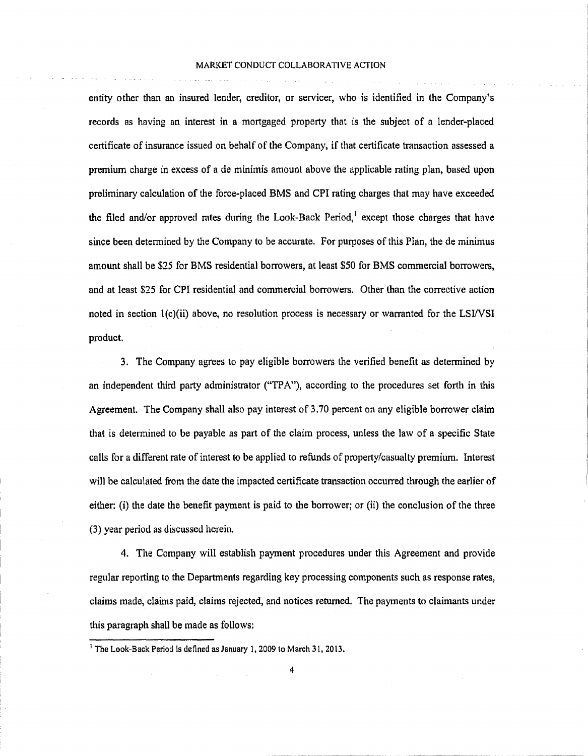entity other than an insured lender, creditor, or servicer, who is identified in the Company's records as having an interest in a mortgaged property that is the subject of a lender-placed certificate of insurance issued on behalf of the Company, if that certificate transaction assessed a premium charge in excess of a de minimis amount above the applicable rating plan, based upon preliminary calculation of the force-placed BMS and CPI rating charges that may have exceeded the filed and/or approved rates during the Look-Back Period,  $\ell$  except those charges that have since been detennined by the Company to be accurate. For purposes of this Plan, the de minimus amount shall be \$25 for BMS residential borrowers, at least \$50 for BMS commercial borrowers, and at least \$25 for CPI residential and commercial borrowers. Other than the corrective action noted in section l(c)(ii) above, no resolution process is necessary or warranted for the LSWSI product.

3. The Company agrees to pay eligible borrowers the verified benefit as determined by an independent third party administrator ("TPA"), according to the procedures set forth in this Agreement. The Company shall also pay interest of 3.70 percent on any eligible borrower claim that is determined to be payable as part of the claim process, unless the law of a specific State calls for a different rate of interest to be applied to refunds of property/casualty premium. Interest will be calculated from the date the impacted certificate transaction occurred through the earlier of either: (i) the date the benefit payment is paid to the borrower; or (ii) the conclusion of the three (3) year period as discussed herein.

4. The Company will establish payment procedures under this Agreement and provide regular reporting to the Departments regarding key processing components such as response rates, claims made, claims paid, claims rejected, and notices returned. The payments to claimants under this paragraph shall be made as follows:

<sup>&</sup>lt;sup>1</sup> The Look-Back Period is defined as January 1, 2009 to March 31, 2013.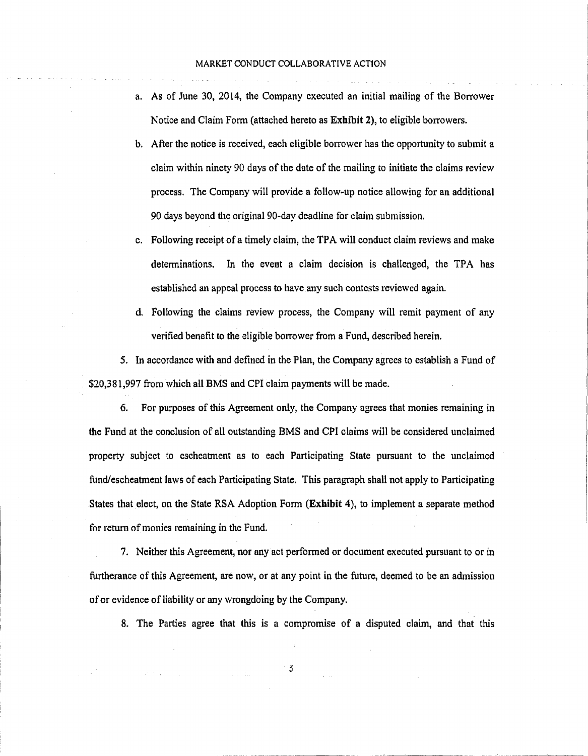- a. As of June 30, 2014, the Company executed an initial mailing of the Borrower Notice and Claim Fonn (attached hereto as Exhibit 2), to eligible borrowers.
- b. After the notice is received, each eligible borrower has the opportunity to submit a claim within ninety 90 days of the date of the mailing to initiate the claims review process. The Company will provide a follow-up notice allowing for an additional 90 days beyond the original 90-day deadline for claim submission.
- c. Following receipt of a timely claim, the TPA will conduct claim reviews and make determinations. In the event a claim decision is challenged, the TPA has established an appeal process to have any such contests reviewed again.
- d. Following the claims review process, the Company will remit payment of any verified benefit to the eligible borrower from a Fund, described herein.

5. In accordance with and defined in the Plan, the Company agrees to establish a Fund of \$20,381,997 from which all BMS and CPI claim payments will be made.

6. For purposes of this Agreement only, the Company agrees that monies remaining in the Fund at the conclusion of all outstanding BMS and CPI claims will be considered unclaimed property subject to escheatment as to each Participating State pursuant to the unclaimed fund/escheatment laws of each Participating State. This paragraph shall not apply to Participating States that elect, on the State RSA Adoption Fonn (Exhibit 4), to implement a separate method for return of monies remaining in the Fund.

7. Neither this Agreement, nor any act performed or document executed pursuant to or in furtherance of this Agreement, are now, or at any point in the future, deemed to be an admission of or evidence of liability or any wrongdoing by the Company.

8. The Parties agree that this is a compromise of a disputed claim, and that this

5

- --- ------· --------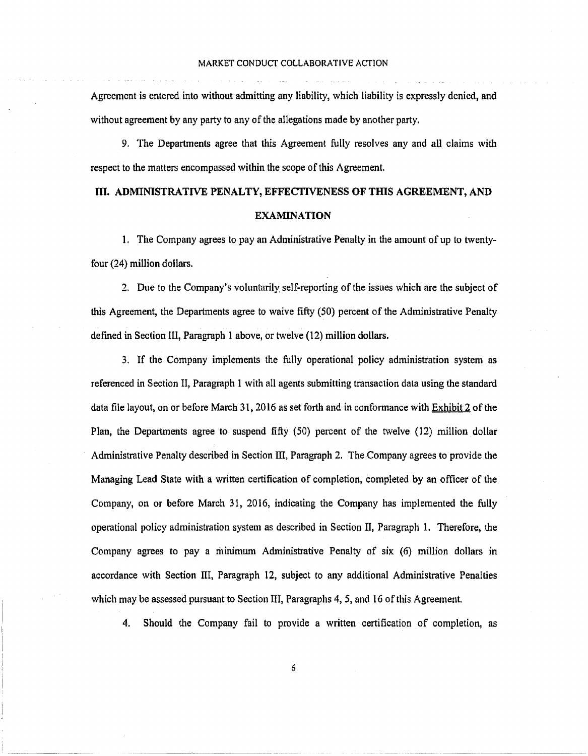Agreement is entered into without admitting any liability, which liability is expressly denied, and without agreement by any party to any of the allegations made by another party.

9. The Departments agree that this Agreement fully resolves any and all claims with respect to the matters encompassed within the scope of this Agreement.

# III. ADMINISTRATIVE PENALTY, EFFECTIVENESS OF THIS AGREEMENT, AND EXAMINATION

1. The Company agrees to pay an Administrative Penalty in the amount of up to twentyfour (24) million dollars.

2. Due to the Company's voluntarily self-reporting of the issues which are the subject of this Agreement, the Departments agree to waive fifty (50) percent of the Administrative Penalty defined in Section Ill, Paragraph I above, or twelve (12) million dollars.

3. If the Company implements the fully operational policy administration system as referenced in Section II, Paragraph 1 with all agents submitting transaction data using the standard data file layout, on or before March 31, 2016 as set forth and in conformance with Exhibit 2 of the Plan, the Departments agree to suspend fifty (50) percent of the twelve (12) million dollar Administrative Penalty described in Section III, Paragraph 2. The Company agrees to provide the Managing Lead State with a written certification of completion, completed by an officer of the Company, on or before March 31, 2016, indicating the Company has implemented the fully operational policy administration system as described in Section II, Paragraph 1. Therefore, the Company agrees to pay a minimum Administrative Penalty of six (6) million dollars in accordance with Section III, Paragraph 12, subject to any additional Administrative Penalties which may be assessed pursuant to Section III, Paragraphs 4, *5,* and 16 of this Agreement.

4. Should the Company fail to provide a written certification of completion, as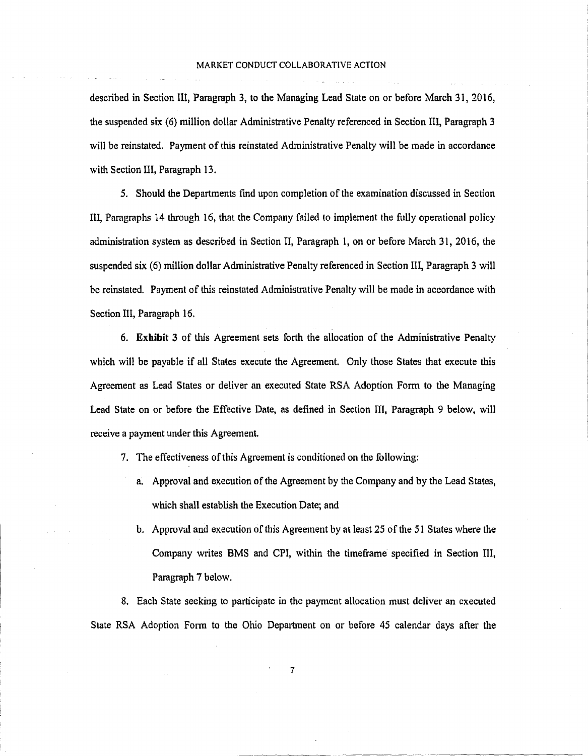described in Section III, Paragraph 3, to the Managing Lead State on or before March 31, 2016, the suspended six (6) million dollar Administrative Penalty referenced in Section III, Paragraph 3 will be reinstated. Payment of this reinstated Administrative Penalty will be made in accordance with Section III, Paragraph 13.

5. Should the Departments find upon completion of the examination discussed in Section III, Paragraphs 14 through 16, that the Company failed to implement the fully operational policy administration system as described in Section II, Paragraph 1, on or before March 31, 2016, the suspended six (6) million dollar Administrative Penalty referenced in Section III, Paragraph 3 will be reinstated. Payment of this reinstated Administrative Penalty will be made in accordance with Section III, Paragraph 16.

6. **Exhibit** 3 of this Agreement sets forth the allocation of the Administrative Penalty which will be payable if all States execute the Agreement. Only those States that execute this Agreement as Lead States or deliver an executed State RSA Adoption Form to the Managing Lead State on or before the Effective Date, as defined in Section III, Paragraph 9 below, will receive a payment under this Agreement.

- 7. The effectiveness of this Agreement is conditioned on the following:
	- a. Approval and execution of the Agreement by the Company and by the Lead States, which shall establish the Execution Date; and
	- b. Approval and execution of this Agreement by at least 25 of the 51 States where the Company writes BMS and CPI, within the timeframe specified in Section III, Paragraph 7 below.

8. Each State seeking to participate in the payment allocation must deliver an executed State RSA Adoption Form to the Ohio Department on or before 45 calendar days after the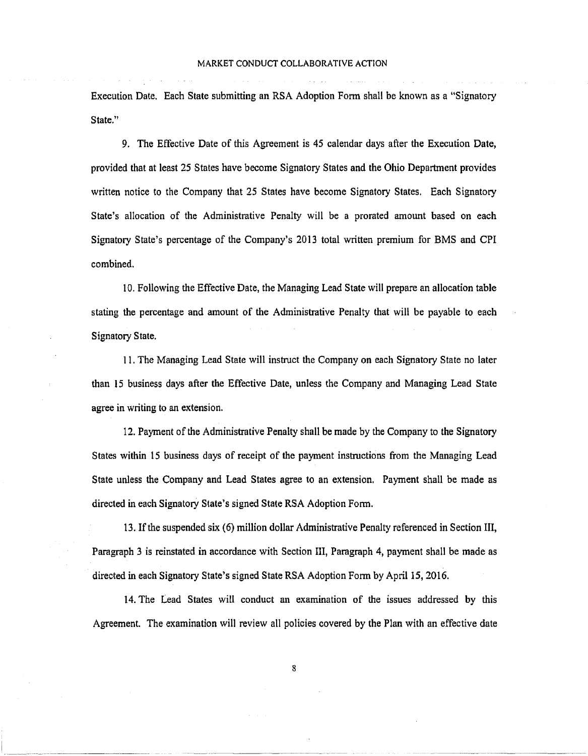Execution Date. Each State submitting an RSA Adoption Form shall be known as a "Signatory State."

9. The Effective Date of this Agreement is 45 calendar days after the Execution Date, provided that at least 25 States have become Signatory States and the Ohio Department provides written notice to the Company that 25 States have become Signatory States. Each Signatory State's allocation of the Administrative Penalty will be a prorated amount based on each Signatory State's percentage of the Company's 2013 total written premium for BMS and CPI combined.

10. Following the Effective Date, the Managing Lead State will prepare an allocation table stating the percentage and amount of the Administrative Penalty that will be payable to each Signatory State.

11. The Managing Lead State will instruct the Company on each Signatory State no later than 15 business days after the Effective Date, unless the Company and Managing Lead State agree in writing to an extension.

12. Payment of the Administrative Penalty shall be made by the Company to the Signatory States within 15 business days of receipt of the payment instructions from the Managing Lead State unless the Company and Lead States agree to an extension. Payment shall be made as directed in each Signatory State's signed State RSA Adoption Form.

13. If the suspended six (6) million dollar Administrative Penalty referenced in Section III, Paragraph 3 is reinstated in accordance with Section III, Paragraph 4, payment shall be made as directed in each Signatory State's signed State RSA Adoption Form by April 15, 2016.

14. The Lead States will conduct an examination of the issues addressed by this Agreement. The examination will review all policies covered by the Plan with an effective date

8

------·-· ------------··---- ··-----------------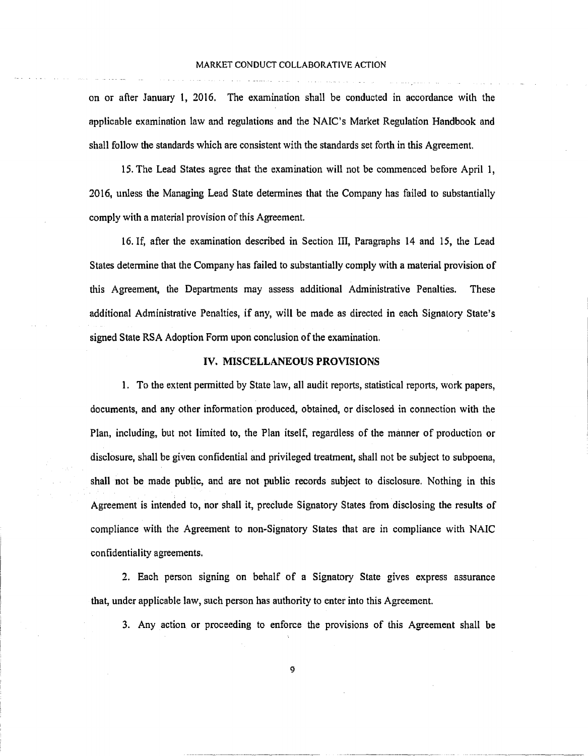on or after January l, 2016. The examination shall be conducted in accordance with the applicable examination law and regulations and the NAIC's Market Regulation Handbook and shall follow the standards which are consistent with the standards set forth in this Agreement.

15. The Lead States agree that the examination will not be commenced before April 1, 2016, unless the Managing Lead State determines that the Company has failed to substantially comply with a material provision of this Agreement.

16. If, after the examination described in Section III, Paragraphs 14 and 15, the Lead States determine that the Company has failed to substantially comply with a material provision of this Agreement; the Departments may assess additional Administrative Penalties. These additional Administrative Penalties, if any, will be made as directed in each Signatory State's signed State RSA Adoption Form upon conclusion of the examination.

### IV. MISCELLANEOUS PROVISIONS

1. To the extent permitted by State law, all audit reports, statistical reports, work papers, documents, and any other information produced, obtained, or disclosed in connection with the Plan, including, but not limited to, the Plan itself, regardless of the manner of production or disclosure, shall be given confidential and privileged treatment, shall not be subject to subpoena, shall not be made public, and are not public records subject to disclosure. Nothing in this Agreement is intended to, nor shall it, preclude Signatory States from disclosing the results of compliance with the Agreement to non-Signatory States that are in compliance with NAIC confidentiality agreements.

2. Each person signing on behalf of a Signatory State gives express assurance that, under applicable law, such person has authority to enter into this Agreement.

3. Any action or proceeding to enforce the provisions of this Agreement shall be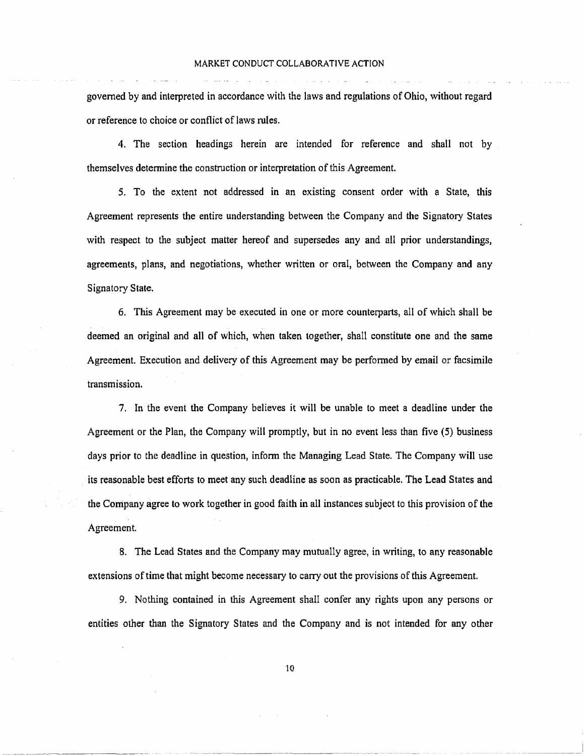governed by and interpreted in accordance with the laws and regulations of Ohio, without regard or reference to choice or conflict of laws rules.

4. The section headings herein are intended for reference and shall not by themselves detennine the construction or interpretation of this Agreement.

5. To the extent not addressed in an existing consent order with a State, this Agreement represents the entire understanding between the Company and the Signatory States with respect to the subject matter hereof and supersedes any and all prior understandings, agreements, plans, and negotiations, whether written or oral, between the Company and any Signatory State.

6. This Agreement may be executed in one or more counterparts, all of which shall be deemed an original and all of which, when taken together, shall constitute one and the same Agreement. Execution and delivery of this Agreement may be perfonned by email or facsimile transmission.

7. In the event the Company believes it will be unable to meet a deadline under the Agreement or the Plan, the Company will promptly, but in no event Jess than five (5) business days prior to the deadline in question, inform the Managing Lead State. The Company will use its reasonable best efforts to meet any such deadline as soon as practicable. The Lead States and the Company agree to work together in good faith in all instances subject to this provision of the Agreement.

8. The Lead States and the Company may mutually agree, in writing, to any reasonable extensions of time that might become necessary to carry out the provisions of this Agreement.

9. Nothing contained in this Agreement shall confer any rights upon any persons or entities other than the Signatory States and the Company and is not intended for any other

lO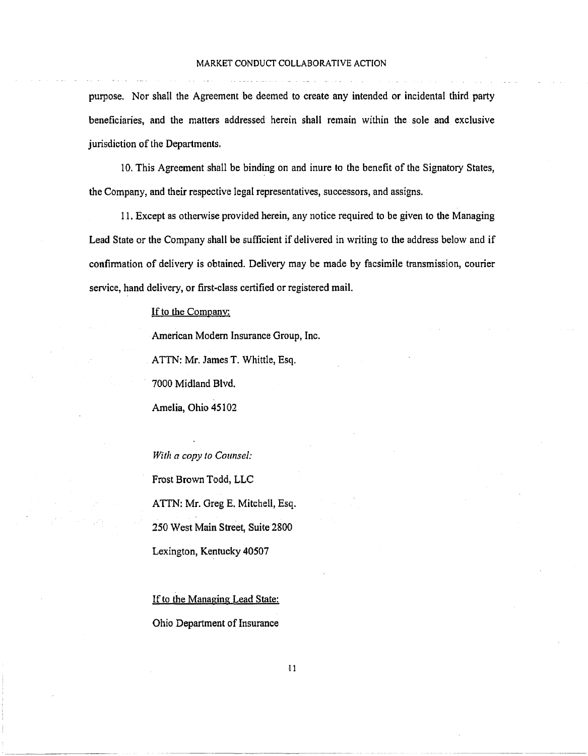purpose. Nor shall the Agreement be deemed to create any intended or incidental third party beneficiaries, and the matters addressed herein shall remain within the sole and exclusive jurisdiction of the Departments.

10. This Agreement shall be binding on and inure to the benefit of the Signatory States, the Company, and their respective legal representatives, successors, and assigns.

11. Except as otherwise provided herein, any notice required to be given to the Managing Lead State or the Company shall be sufficient if delivered in writing to the address below and if confinnation of delivery is obtained. Delivery may be made by facsimile transmission, courier service, hand delivery, or first-class certified or registered mail.

If to the Company:

American Modern Insurance Group, Inc.

ATIN: Mr. James T. Whittle, Esq.

7000 Midland Blvd.

Amelia, Ohio 45102

*With a copy to Counsel:*  Frost Brown Todd, LLC ATTN: Mr. Greg E. Mitchell, Esq. 250 West Main Street, Suite 2800 Lexington, Kentucky 40507

If to the Managing Lead State: Ohio Department of Insurance

 $\mathbf{11}$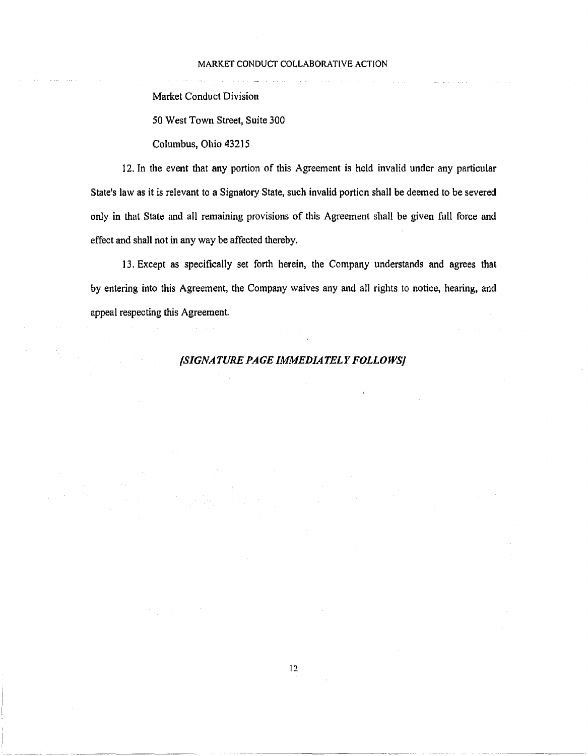Market Conduct Division

*50* West Town Street, Suite 300

Columbus, Ohio 43215

12. In the event that any portion of this Agreement is held invalid under any particular State's law as it is relevant to a Signatory State, such invalid portion shall be deemed to be severed only in that State and all remaining provisions of this Agreement shall be given full force and effect and shall not in any way be affected thereby.

13. Except as specifically set forth herein, the Company understands and agrees that by entering into this Agreement, the Company waives any and all rights to notice, hearing, and appeal respecting this Agreement.

# *{SIGNATURE PAGE IMMEDIATELY FOLLOWS]*

------------------------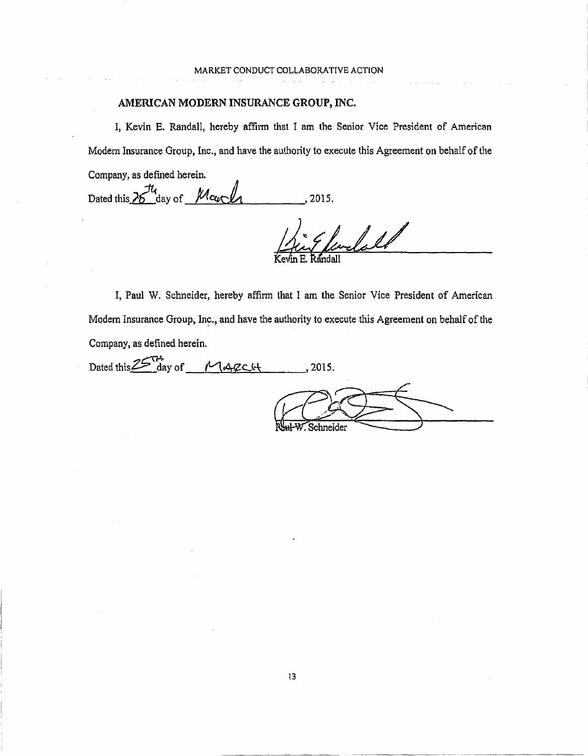# AMERICAN MODERN INSURANCE GROUP, INC.

I, Kevin E. Randall, hereby affiim that I am the Senior Vice President of American Modem Insurance Group, Inc., and have the authority to execute this Agreement on behalf of the Company, as defined herein.

Dated this  $26\frac{\mu}{\omega}$  day of  $\frac{\mu}{\omega}$   $\frac{\mu}{\omega}$ , 2015.

fendald

I, Paul W. Schneider, hereby affirm that I am the Senior Vice President of American Modern Insurance Group, Inc., and have the authority to execute this Agreement on behalf of the Company, as defined herein.

Dated this  $25\frac{H}{\text{day of}}$   $M_{\text{A}}$   $g$   $c$   $u$ , 2015. Nul-W. Schneider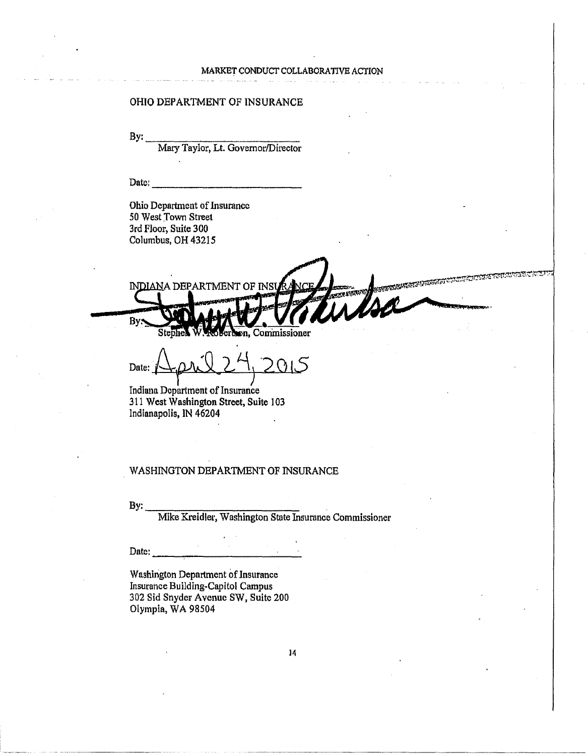### OHIO DEPARTMENT OF INSURANCE

 $By:$ 

Mary Taylor, Lt. Governor/Director

Datc:

Ohio Department of Insurance 50 West Town Street 3rd Floor, Suite 300 Columbus, OH 43215

**SECTIONS CO.** *NDIAN* A DEPARTMENT OF INSU By Commissioner 'nп.

Date: April 27, 2015

Indiana Department of Insurance 311 West Washington Street, Suite 103 Indianapolis, IN 46204

### WASHINGTON DEPARTMENT OF INSURANCE

By:~-~-~------~ Mike Kreidler, Washington State Insurance Commissioner

Date:  $\frac{1}{2}$   $\frac{1}{2}$   $\frac{1}{2}$   $\frac{1}{2}$   $\frac{1}{2}$   $\frac{1}{2}$   $\frac{1}{2}$   $\frac{1}{2}$   $\frac{1}{2}$   $\frac{1}{2}$   $\frac{1}{2}$   $\frac{1}{2}$   $\frac{1}{2}$   $\frac{1}{2}$   $\frac{1}{2}$   $\frac{1}{2}$   $\frac{1}{2}$   $\frac{1}{2}$   $\frac{1}{2}$   $\frac{1}{2}$   $\frac{1}{2}$   $\frac{1$ 

Washington Department of Jnsurance Insurance Building-Capitol Campus 302 Sid Snyder Avenue SW, Suite 200 Olympia, WA 98504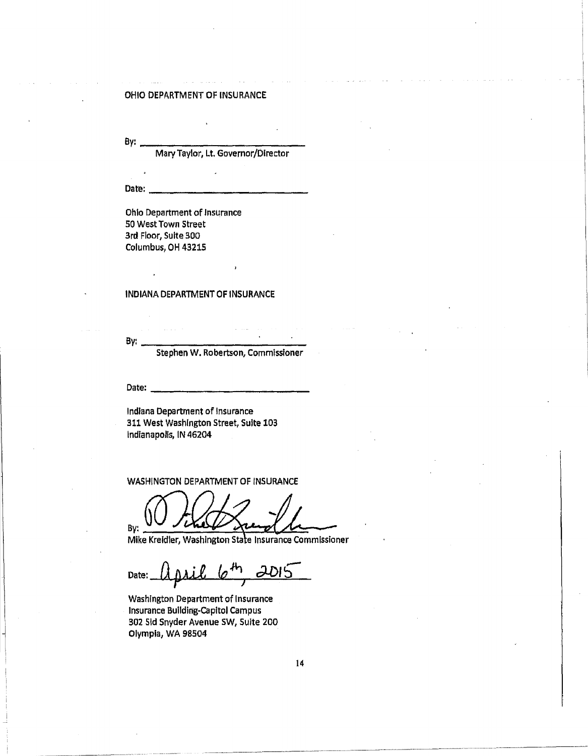#### OHIO DEPARTMENT OF INSURANCE

By:  $\frac{1}{\text{Mary Taylor, Lt. Governor/Director}}$ 

Oatl:!: ------------

Ohio Department of Insurance 50 West Town Street 3rd Floor, Suite 300 Columbus, OH 43215

#### INDIANA DEPARTMENT OF INSURANCE

By: <br>Stephen W. Robertson, Commissioner

Date:------------

Indiana Department of Insurance 311 West Washington Street, Suite 103 lndfanapolls, IN 46204

WASHINGTON DEPARTMENT OF INSURANCE

By:

Mike Kreidler, Washington State Insurance Commissioner

 $_{\text{Date:}}$   $\left(\frac{1}{4}\right)$   $\left(\frac{1}{2}\right)$   $\left(\frac{1}{2}\right)$   $\left(\frac{1}{2}\right)$ 

washlngton Department of Insurance Insurance Bullding-capltol Campus 302 Sid Snyder Avenue SW, Suite 200 Olympia, WA 98504

·-~~----------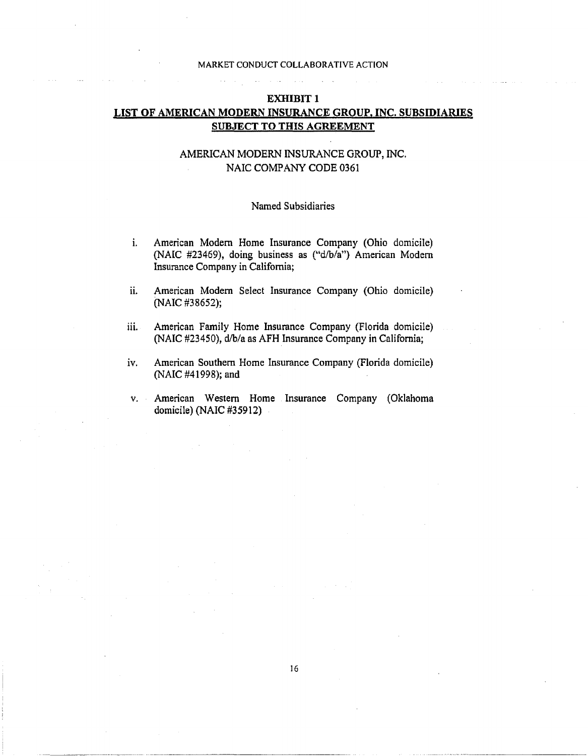# EXHIBIT 1 LIST OF AMERICAN MODERN INSURANCE GROUP, INC. SUBSIDIARIES SUBJECT TO THIS AGREEMENT

# AMERICAN MODERN INSURANCE GROUP, INC. NAIC COMPANY CODE 0361

### Named Subsidiaries

- i. American Modern Home Insurance Company (Ohio domicile) (NAlC #23469), doing business as ("d/b/a") American Modern Insurance Company in California;
- ii. American Modern Select Insurance Company (Ohio domicile) (NAIC #38652);
- iii. American Family Home Insurance Company (Florida domicile) (NAIC #23450), d/b/a as AFH Insurance Company in California;
- iv. American Southern Home Insurance Company (Florida domicile) (NAIC #41998); and
- v. American Western Home Insurance Company (Oklahoma domicile) (NAIC #35912)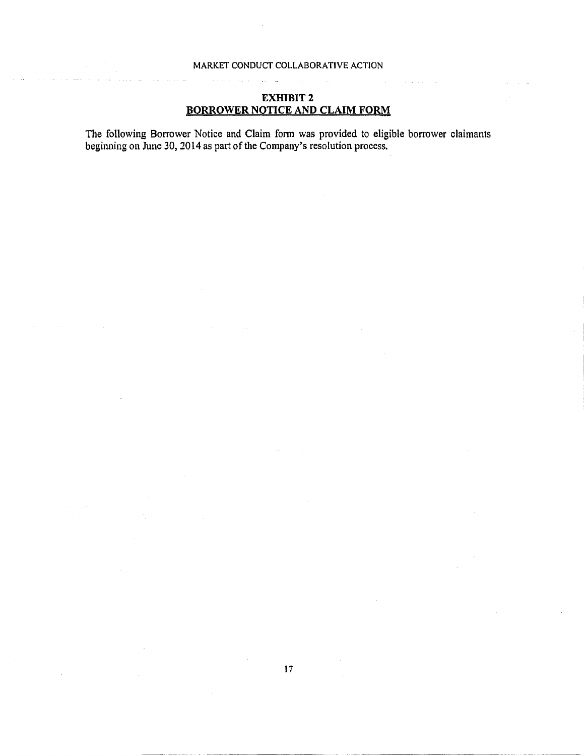# **EXHIBIT2 BORROWER NOTICE AND CLAIM FORM**

The following Borrower Notice and Claim form was provided to eligible borrower claimants beginning on June 30, 2014 as part of the Company's resolution process.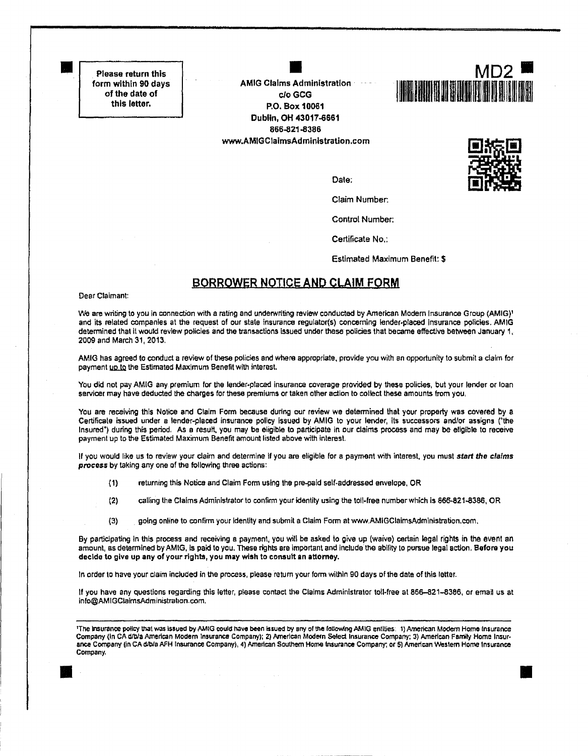Please return this form within 90 days of the date of this letter.

**•** 

**AMIG Claims Administration** clo GCG P.O. Box 10061 Dublin, OH 43017-6661 866-821-8386 www.AMIGClaimsAdministration.com





•

Control Number:

Certificate No.:

Estimated Maximum Benefit: \$

# BORROWER NOTICE AND CLAIM FORM

Dear Claimant:

We are writing to you in connection with a rating and underwriting review conducted by American Modern Insurance Group (AMIG)<sup>1</sup> and its related companies at the request of our state insurance regulator(s) concerning lender-placed Insurance policies. AMIG determined that it would review policies and the transactions issued under these policies that became effective between January 1, 2009 and March 31, 2013.

AMIG has agreed to conduct a review of these policies and where appropriate, provide you with an opportunity to submit a claim for payment up to the Estimated Maximum Benefit with interest.

You did not pay AMIG any premium for the lender-placed insurance coverage provided by these policies, but your lender or loan servicer may have deducted the charges for these premiums or taken other action to collect these amounts from you,

You are receiving this Notice and Claim Form because during our review we determined that your property was covered by a Certificate issued under a lender-placed insurance policy Issued by AMIG to your lender, its successors and/or assigns ('the Insured') during this period. As a resutt. you may be eligible to participate in our claims process and may be eligible to receive payment up to the Estimated Maximum Benefit amount listed above with interest.

If you would like us to review your claim and determine if you are eligible for a payment with interest, you must start the claims process by taking any one of the following three actions:

- {1) returning this Notice and Claim Form using the pra;:iald self-addressed envelope, OR
- (2) calling the Clafms Administrator to confirm your identity using the toll-free number which Is 866-821-8386, OR
- (3) going online to confirm your Identity and submit a Claim Form at www.AMIGClaimsAdmlnistration.com.

By participating In this process and receiVing a payment, you will be asked to give up {waive) certain legal rights in the event an amount, as determined by AMIG, Is paid to you. These rights are Important and include the abllity to pursue legal action. Before you docldo lo give up any of your rights, you may wish to consult an attomey.

In order to have your claim included in the process, please retum your form within 90 days of the date of this letter.

If you have any questions regarding this letter, please contact the Claims Administrator toll-free at 866-821-8386, or email us at info@AMIGClalmsAdministrahon.com.

 $\overline{\phantom{a}}$ 'The insurance policy that was issued by AMIG could have been issued by any of the following AMIG entities: 1) American Modern Home Insurance Company (in CA d/b/a American Modern Insurance Company); 2) American Modern Select Insurance Company: 3) American Family Home Insurance Company (in CA d/b/a AFH Insurance Company), 4) American Southern Home Insurance Company; or 5) American Western Home Insurance Company.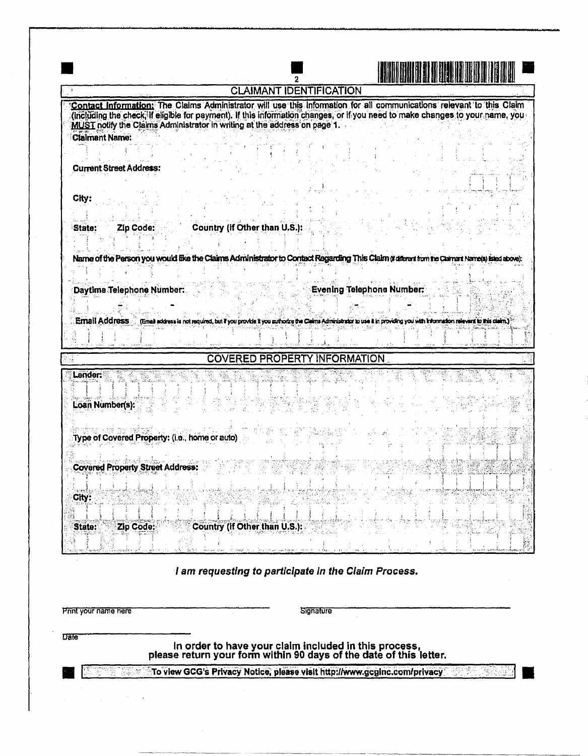| <b>CLAIMANT IDENTIFICATION</b>                                                                                                                                                                                                                                                                                                      |
|-------------------------------------------------------------------------------------------------------------------------------------------------------------------------------------------------------------------------------------------------------------------------------------------------------------------------------------|
| Contact Information: The Claims Administrator will use this information for all communications relevant to this Claim<br>(including the check, if eligible for payment). If this information changes, or if you need to make changes to your name, you<br>MUST notify the Claims Administrator in writing at the address on page 1. |
| <b>Claimant Name:</b><br><b>Current Street Address:</b>                                                                                                                                                                                                                                                                             |
| City:<br>Country (if Other than U.S.):<br>Zip Code:<br>'State:                                                                                                                                                                                                                                                                      |
| Name of the Person you would like the Claims Administrator to Contact Regarding This Claim (tallers than the Claiman Name(s) isled above):                                                                                                                                                                                          |
| <b>Evening Telephone Number:</b><br>Daytime Telephone Number:                                                                                                                                                                                                                                                                       |
| Email Address (Emai address is not required, but if you provide it you authorize the Cleans Administrator to use it in providing you with Information relevers to this clean.)                                                                                                                                                      |
| <b>COVERED PROPERTY INFORMATION</b>                                                                                                                                                                                                                                                                                                 |
| Lander:<br>Loan Number(s):                                                                                                                                                                                                                                                                                                          |
| Type of Covered Property: (i.e., home or auto)                                                                                                                                                                                                                                                                                      |
| <b>Covered Property Street Address:</b><br>City:                                                                                                                                                                                                                                                                                    |
|                                                                                                                                                                                                                                                                                                                                     |
| $\frac{1}{2}$<br>Zip Code:<br>Country (if Other than U.S.):<br>State:                                                                                                                                                                                                                                                               |

# I am requesting to participate In the Claim Process.

Pnnt your name here

**Signature** 

Date

In order to have your claim included in this process, please return your fonn within 90 days of the date of this letter.

To view GCG's Privacy Notice, please visit http://www.gcginc.com/privacy. The Michael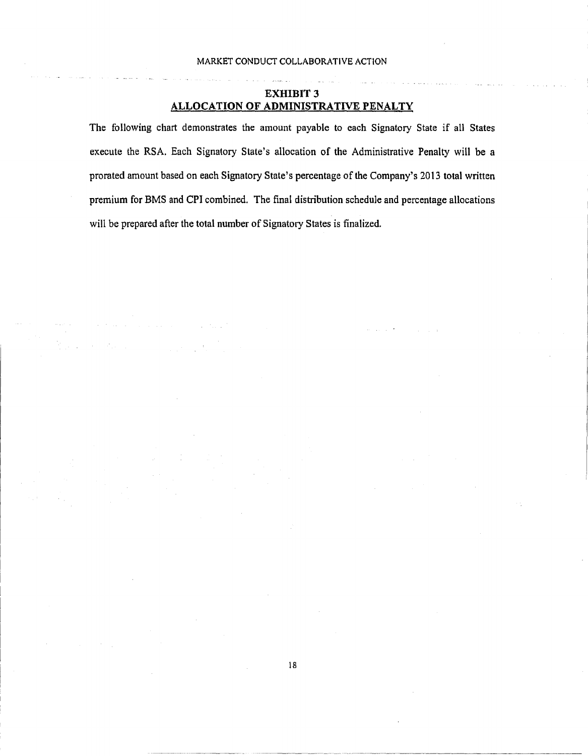# EXHIBIT 3 ALLOCATION OF ADMINISTRATIVE PENALTY

The following chart demonstrates the amount payable to each Signatory State if all States execute the RSA. Each Signatory State's allocation of the Administrative Penalty will be a prorated amount based on each Signatory State's percentage of the Company's 2013 total written premium for BMS and CPI combined. The final distribution schedule and percentage allocations will be prepared after the total number of Signatory States is finalized.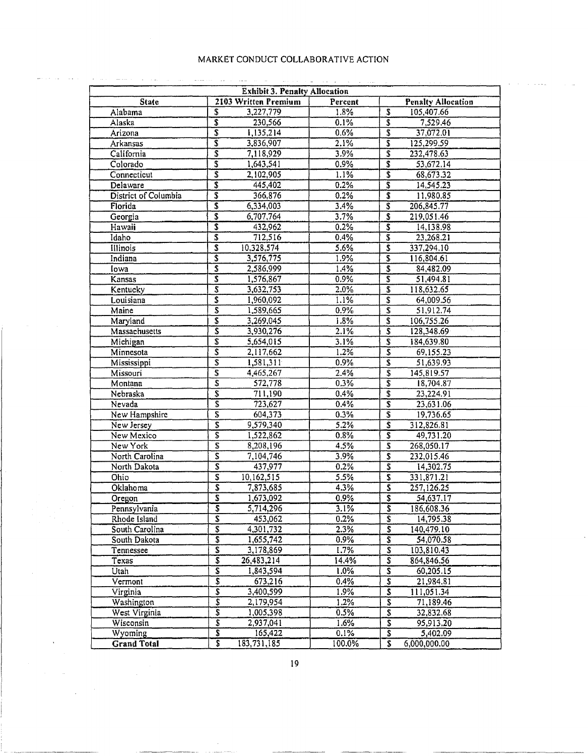|                      | <b>Exhibit 3. Penalty Allocation</b>   |         |                                        |
|----------------------|----------------------------------------|---------|----------------------------------------|
| <b>State</b>         | 2103 Written Premium                   | Percent | <b>Penalty Allocation</b>              |
| Alabama              | 3,227,779<br>S                         | 1.8%    | S<br>105,407.66                        |
| Alaska               | $\overline{\boldsymbol{s}}$<br>230,566 | $0.1\%$ | $\vec{s}$<br>7,529.46                  |
| Arizona              | $\overline{s}$<br>1,135,214            | 0.6%    | 37,072.01                              |
| Arkansas             | š<br>3,836,907                         | $2.1\%$ | 3<br>125,299.59                        |
| California           | $\overline{s}$<br>7,118,929            | 3.9%    | ŝ<br>232,478.63                        |
| Colorado             | 3<br>1,643,541                         | 0.9%    | $\overline{s}$<br>53,672.14            |
| Connecticut          | \$<br>2,102,905                        | 1.1%    | $\overline{s}$<br>68,673.32            |
| Delaware             | 3<br>445,402                           | 0.2%    | T<br>14,545.23                         |
| District of Columbia | 3<br>366,876                           | 0.2%    | T<br>11,980.85                         |
| Florida              | 6,334,003                              | 3.4%    | $\overline{s}$<br>206,845.77           |
| Georgia              | 3<br>6,707,764                         | 3.7%    | T<br>219,051.46                        |
| Hawaii               | \$<br>432,962                          | $0.2\%$ | $\overline{\mathbf{s}}$<br>14,138.98   |
| Idaho                | \$<br>712,516                          | 0.4%    | T<br>23,268.21                         |
| Illinois             | \$<br>10,328,574                       | 5.6%    | 337,294.10                             |
| Indiana              | ŝ<br>3,576,775                         | 1.9%    | 3<br>116,804.61                        |
| lowa                 | T<br>2,586,999                         | 1.4%    | s<br>84,482,09                         |
| Kansas               | 3<br>1,576,867                         | 0.9%    | 3<br>51,494.81                         |
| Kentucky             | $\overline{\mathbf{s}}$<br>3,632,753   | $2.0\%$ | 3<br>118,632.65                        |
| Louisiana            | 5<br>1,960,092                         | 1.1%    | \$<br>64,009.56                        |
| Maine                | 3<br>1,589,665                         | 0.9%    | $\overline{\mathfrak{s}}$<br>51,912.74 |
| Maryland             | \$<br>3,269,045                        | 1.8%    | 106,755.26                             |
| Massachusetts        | 3<br>3,930,276                         | 2.1%    | 3<br>128,348.69                        |
| Michigan             | T<br>5,654,015                         | 3.1%    | 3<br>184,639.80                        |
| Minnesota            | $\overline{\mathsf{s}}$<br>2,117,662   | $1.2\%$ | 3<br>69,155.23                         |
|                      | $\overline{\mathbf{s}}$                |         | T                                      |
| Mississippi          | 1,581,311                              | 0.9%    | 51,639.93<br>$\overline{s}$            |
| Missouri             | 5<br>4,465,267                         | 2.4%    | 145,819.57                             |
| Montana              | $\overline{\boldsymbol{s}}$<br>572,778 | 0.3%    | $\overline{s}$<br>18,704.87            |
| Nebraska             | T<br>711,190                           | 0.4%    | š<br>23,224.91                         |
| Nevada               | \$<br>723,627                          | 0.4%    | $\bar{s}$<br>23,631.06                 |
| New Hampshire        | 5<br>604,373                           | 0.3%    | $\overline{s}$<br>19,736.65            |
| New Jersey           | 5<br>9,579,340                         | 5.2%    | $\overline{s}$<br>312,826.81           |
| New Mexico           | \$<br>1,522,862                        | $0.8\%$ | s<br>49,731.20                         |
| New York             | S<br>8,208.196                         | 4.5%    | 268,050.17                             |
| North Carolina       | 2<br>7,104,746                         | 3.9%    | Ţ<br>232,015.46                        |
| North Dakota         | $\overline{\mathbf{s}}$<br>437,977     | $0.2\%$ | 5<br>14,302.75                         |
| Ohio                 | $\overline{\mathbf{s}}$<br>10,162,515  | 5.5%    | ŝ<br>331,871.21                        |
| Oklahoma             | Ś<br>7,873,685                         | 4.3%    | 5<br>257,126.25                        |
| Oregon               | $\overline{\mathbf{s}}$<br>1,673,092   | 0.9%    | \$<br>54,637.17                        |
| Pennsylvania         | $\overline{s}$<br>5,714,296            | 3.1%    | $\overline{\mathbf{s}}$<br>186,608.36  |
| Rhode Island         | $\overline{\mathbb{S}}$<br>453,062     | 0.2%    | S<br>14,795.38                         |
| South Carolina       | \$<br>4,301,732                        | 2.3%    | \$<br>140,479.10                       |
| South Dakota         | $\overline{\mathbf{s}}$<br>1,655,742   | 0.9%    | S<br>54,070.58                         |
| Tennessee            | $\overline{\mathbf{s}}$<br>3,178,869   | 1.7%    | $\overline{s}$<br>103,810.43           |
| Texas                | $\overline{\mathbf{s}}$<br>26,483,214  | 14.4%   | $\overline{s}$<br>864,846.56           |
| Utah                 | \$<br>1,843,594                        | $1.0\%$ | s<br>60,205.15                         |
| Vermont              | \$<br>673,216                          | 0.4%    | T<br>21,984.81                         |
| Virginia             | S<br>3,400,599                         | 1.9%    | 3<br>111,051.34                        |
| Washington           | \$<br>2,179,954                        | 1.2%    | \$<br>71,189.46                        |
| West Virginia        | Ŝ<br>1,005,398                         | 0.5%    | $\overline{\$}$<br>32,832.68           |
| Wisconsin            | \$<br>2,937,041                        | 1.6%    | $\overline{\mathbf{s}}$<br>95,913.20   |
| Wyoming              | S<br>165,422                           | 0.1%    | $\overline{s}$<br>5,402.09             |
| <b>Grand Total</b>   | `\$<br>183,731,185                     | 100.0%  | S.<br>6,000,000.00                     |

---·--··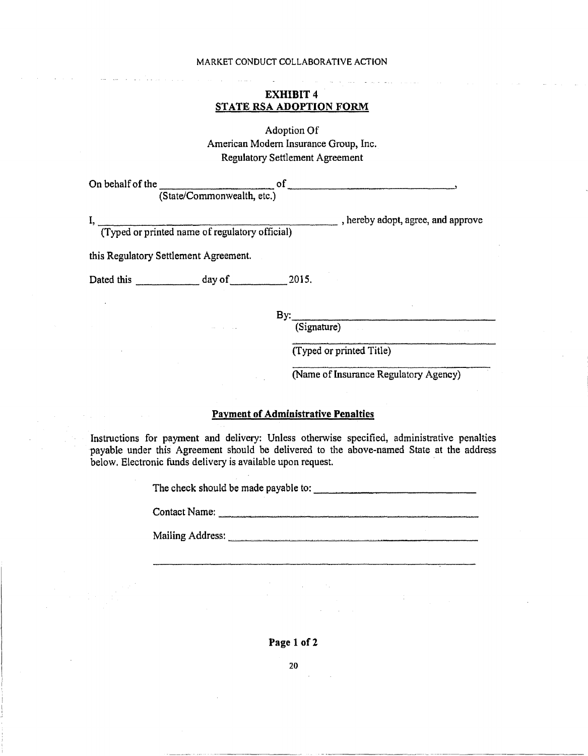## EXHIBIT<sub>4</sub> STATE RSA ADOPTION FORM

Adoption Of American Modem Insurance Group, Inc. Regulatory Settlement Agreement

| On behalf of the |                            |  |  |
|------------------|----------------------------|--|--|
|                  | (State/Commonwealth, etc.) |  |  |

 $I, \frac{1}{\sqrt{2}}$ , hereby adopt, agree, and approve

this Regulatory Settlement Agreement.

Dated this day of 2015.

(Typed or printed name of regulatory official)

By: \_\_\_\_\_\_\_\_\_\_\_\_ \_ (Signature)

(Typed or printed Title)

(Name of Insurance Regulatory Agency)

### Payment of Administrative Penalties

Instructions for payment and delivery: Unless otherwise specified, administrative penalties payable under this Agreement should be delivered to the above-named State at the address below. Electronic funds delivery is available upon request.

The check should be made payable to:

Mailing Address: experience of the state of the state of the state of the state of the state of the state of the state of the state of the state of the state of the state of the state of the state of the state of the state

Page 1 of 2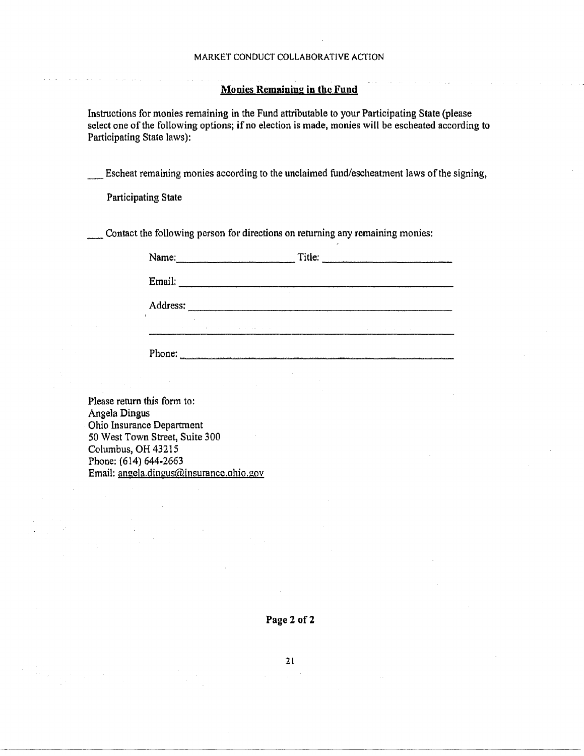### Monies Remaining in the Fund

Instructions for monies remaining in the Fund attributable to your Participating State (please select one of the following options; if no election is made, monies will be escheated according to Participating State laws):

\_ Escheat remaining monies according to the unclaimed fund/escheatment laws of the signing,

Participating State

\_Contact the following person for directions on returning any remaining monies:

| Name:    |                                     | Title:          |        |  |
|----------|-------------------------------------|-----------------|--------|--|
| Email:   | $\sim$                              |                 |        |  |
| Address: |                                     |                 |        |  |
| $\sim$   | the committee of the com-<br>$\sim$ | the contract of | $\sim$ |  |
| Phone:   | $\sim$                              |                 |        |  |

Please return this form to: Angela Dingus Ohio Insurance Department 50 West Town Street, Suite 300 Columbus, OH 43215 Phone: (614) 644-2663 Email: angela.dingus@insurance.ohio.gov

------------------------

2l.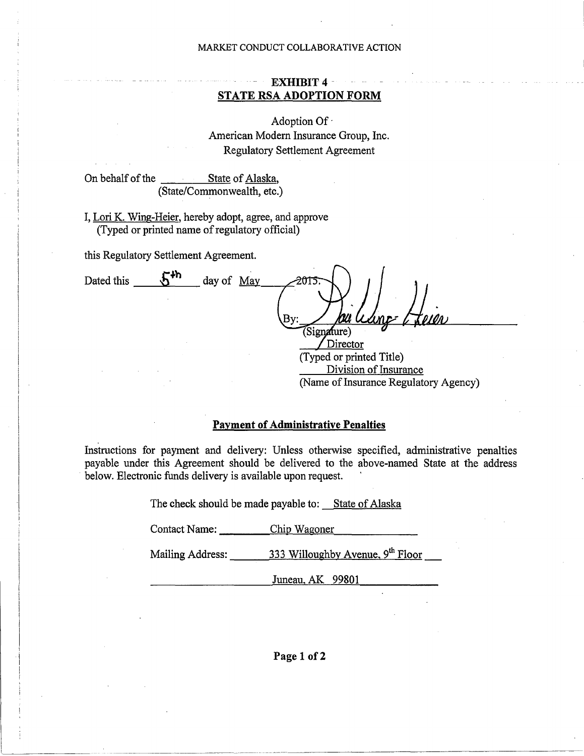# **EXHIBIT4** - **STATE RSA ADOPTION FORM**

Adoption Of· American Modern Insurance Group, Inc. Regulatory Settlement Agreement

On behalf of the State of Alaska, (State/Commonwealth, etc.)

I, Lori K. Wing-Heier, hereby adopt, agree, and approve (Typed or printed name of regulatory official)

this Regulatory Settlement Agreement.

Dated this  $\frac{5^{4h}}{2}$  day of <u>May</u> (Signature) Director

(Typed or printed Title) Division of Insurance (Name of Insurance Regulatory Agency)

# **Payment of Administrative Penalties**

Instructions for payment and delivery: Unless otherwise specified, administrative penalties payable under this Agreement should be delivered to the above-named State at the address below. Electronic funds delivery is available upon request.

The check should be made payable to: State of Alaska

Contact Name: Chip Wagoner

Mailing Address: \_\_ \_\_,.3 ...... 3 \_\_ 3\_W---=ill=o \_\_ ug\_h=b-.v~A ..... v ...... e=nu ..... e...,., ""'9-th \_\_ F.....,lo"""'o=r

Juneau, AK 99801

**Page 1 of2**